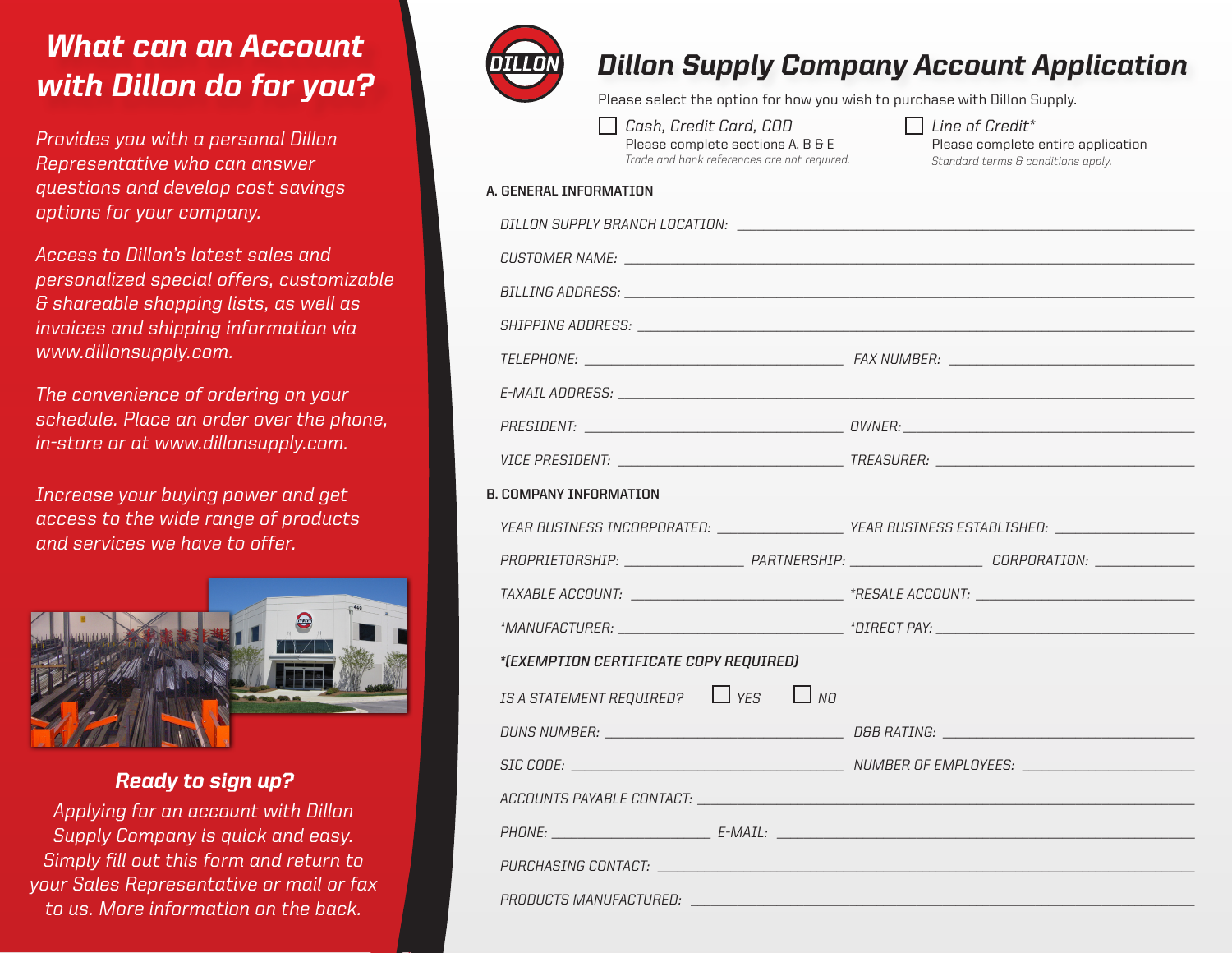## *What can an Account with Dillon do for you?*

*Provides you with a personal Dillon Representative who can answer questions and develop cost savings options for your company.*

*Access to Dillon's latest sales and personalized special offers, customizable & shareable shopping lists, as well as invoices and shipping information via www.dillonsupply.com.*

*The convenience of ordering on your schedule. Place an order over the phone, in-store or at www.dillonsupply.com.*

*Increase your buying power and get access to the wide range of products and services we have to offer.*



### *Ready to sign up?*

*Applying for an account with Dillon Supply Company is quick and easy. Simply fill out this form and return to your Sales Representative or mail or fax to us. More information on the back.*



## *Dillon Supply Company Account Application*

Please select the option for how you wish to purchase with Dillon Supply.

| Cash, Credit Card, COD                      |
|---------------------------------------------|
| Please complete sections A, B & E           |
| Trade and bank references are not required. |

*Line of Credit\** Please complete entire application *Standard terms & conditions apply.*

#### **A. GENERAL INFORMATION**

| BILLING ADDRESS: University of the contract of the contract of the contract of the contract of the contract of |                                                                                                     |  |
|----------------------------------------------------------------------------------------------------------------|-----------------------------------------------------------------------------------------------------|--|
|                                                                                                                |                                                                                                     |  |
|                                                                                                                |                                                                                                     |  |
|                                                                                                                |                                                                                                     |  |
|                                                                                                                |                                                                                                     |  |
|                                                                                                                |                                                                                                     |  |
| B. COMPANY INFORMATION                                                                                         |                                                                                                     |  |
|                                                                                                                | YEAR BUSINESS INCORPORATED: _____________________YEAR BUSINESS ESTABLISHED: _______________________ |  |
|                                                                                                                |                                                                                                     |  |
|                                                                                                                |                                                                                                     |  |
|                                                                                                                |                                                                                                     |  |
| *(EXEMPTION CERTIFICATE COPY REQUIRED)                                                                         |                                                                                                     |  |
| IS A STATEMENT REQUIRED? $\Box$ YES $\Box$ NO                                                                  |                                                                                                     |  |
|                                                                                                                |                                                                                                     |  |
|                                                                                                                |                                                                                                     |  |
|                                                                                                                |                                                                                                     |  |
|                                                                                                                |                                                                                                     |  |
|                                                                                                                |                                                                                                     |  |
|                                                                                                                |                                                                                                     |  |